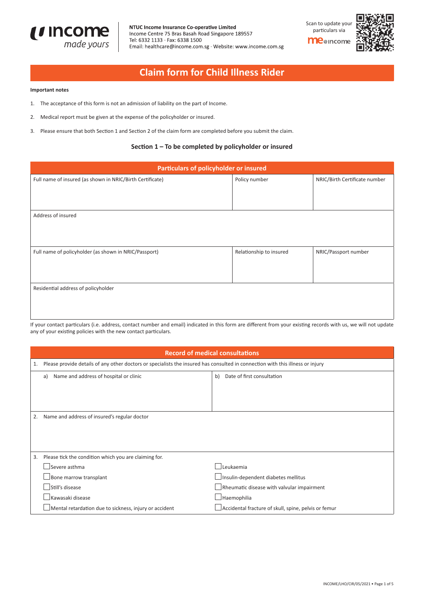

NTUC Income Insurance Co-operative Limited Income Centre 75 Bras Basah Road Singapore 189557 Tel: 6332 1133 · Fax: 6338 1500 Email: healthcare@income.com.sg · Website: www.income.com.sg



# **Claim form for Child Illness Rider**

### **Important notes**

- 1. The acceptance of this form is not an admission of liability on the part of Income.
- 2. Medical report must be given at the expense of the policyholder or insured.
- 3. Please ensure that both Section 1 and Section 2 of the claim form are completed before you submit the claim.

## **Section 1 – To be completed by policyholder or insured**

| Particulars of policyholder or insured                    |                         |                               |  |
|-----------------------------------------------------------|-------------------------|-------------------------------|--|
| Full name of insured (as shown in NRIC/Birth Certificate) | Policy number           | NRIC/Birth Certificate number |  |
|                                                           |                         |                               |  |
|                                                           |                         |                               |  |
| Address of insured                                        |                         |                               |  |
|                                                           |                         |                               |  |
|                                                           |                         |                               |  |
| Full name of policyholder (as shown in NRIC/Passport)     | Relationship to insured | NRIC/Passport number          |  |
|                                                           |                         |                               |  |
|                                                           |                         |                               |  |
| Residential address of policyholder                       |                         |                               |  |
|                                                           |                         |                               |  |
|                                                           |                         |                               |  |

If your contact particulars (i.e. address, contact number and email) indicated in this form are different from your existing records with us, we will not update any of your existing policies with the new contact particulars.

|    | <b>Record of medical consultations</b>                                                                                         |                                                      |  |
|----|--------------------------------------------------------------------------------------------------------------------------------|------------------------------------------------------|--|
| 1. | Please provide details of any other doctors or specialists the insured has consulted in connection with this illness or injury |                                                      |  |
|    | Name and address of hospital or clinic<br>a)                                                                                   | Date of first consultation<br>b)                     |  |
|    |                                                                                                                                |                                                      |  |
|    |                                                                                                                                |                                                      |  |
|    |                                                                                                                                |                                                      |  |
| 2. | Name and address of insured's regular doctor                                                                                   |                                                      |  |
|    |                                                                                                                                |                                                      |  |
|    |                                                                                                                                |                                                      |  |
|    |                                                                                                                                |                                                      |  |
| 3. | Please tick the condition which you are claiming for.                                                                          |                                                      |  |
|    | Severe asthma                                                                                                                  | Leukaemia                                            |  |
|    | $\Box$ Bone marrow transplant                                                                                                  | Insulin-dependent diabetes mellitus                  |  |
|    | Still's disease                                                                                                                | Rheumatic disease with valvular impairment           |  |
|    | Kawasaki disease                                                                                                               | Haemophilia                                          |  |
|    | $\Box$ Mental retardation due to sickness, injury or accident                                                                  | Accidental fracture of skull, spine, pelvis or femur |  |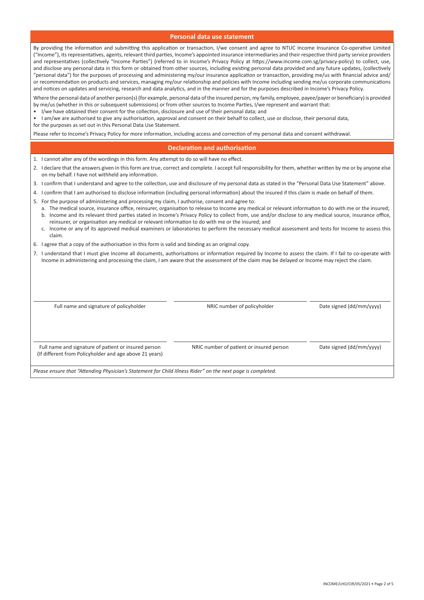### **Personal data use statement**

By providing the information and submitting this application or transaction, I/we consent and agree to NTUC Income Insurance Co-operative Limited ("Income"), its representatives, agents, relevant third parties, Income's appointed insurance intermediaries and their respective third party service providers and representatives (collectively "Income Parties") (referred to in Income's Privacy Policy at https://www.income.com.sg/privacy-policy) to collect, use, and disclose any personal data in this form or obtained from other sources, including existing personal data provided and any future updates, (collectively "personal data") for the purposes of processing and administering my/our insurance application or transaction, providing me/us with financial advice and/ or recommendation on products and services, managing my/our relationship and policies with Income including sending me/us corporate communications and notices on updates and servicing, research and data analytics, and in the manner and for the purposes described in Income's Privacy Policy.

Where the personal data of another person(s) (for example, personal data of the insured person, my family, employee, payee/payer or beneficiary) is provided by me/us (whether in this or subsequent submissions) or from other sources to Income Parties, I/we represent and warrant that:

• I/we have obtained their consent for the collection, disclosure and use of their personal data; and

• I am/we are authorised to give any authorisation, approval and consent on their behalf to collect, use or disclose, their personal data,

for the purposes as set out in this Personal Data Use Statement.

Please refer to Income's Privacy Policy for more information, including access and correction of my personal data and consent withdrawal.

### **Declaration and authorisation**

- 1. I cannot alter any of the wordings in this form. Any attempt to do so will have no effect.
- 2. I declare that the answers given in this form are true, correct and complete. I accept full responsibility for them, whether written by me or by anyone else on my behalf. I have not withheld any information.
- 3. I confirm that I understand and agree to the collection, use and disclosure of my personal data as stated in the "Personal Data Use Statement" above.
- 4. I confirm that I am authorised to disclose information (including personal information) about the insured if this claim is made on behalf of them.
- 5. For the purpose of administering and processing my claim, I authorise, consent and agree to:
	- a. The medical source, insurance office, reinsurer, organisation to release to Income any medical or relevant information to do with me or the insured; b. Income and its relevant third parties stated in Income's Privacy Policy to collect from, use and/or disclose to any medical source, insurance office, reinsurer, or organisation any medical or relevant information to do with me or the insured; and
	- c. Income or any of its approved medical examiners or laboratories to perform the necessary medical assessment and tests for Income to assess this claim.
- 6. I agree that a copy of the authorisation in this form is valid and binding as an original copy.
- 7. I understand that I must give Income all documents, authorisations or information required by Income to assess the claim. If I fail to co-operate with Income in administering and processing the claim, I am aware that the assessment of the claim may be delayed or Income may reject the claim.

Full name and signature of policyholder **NRIC** number of policyholder Date signed (dd/mm/yyyy)

Full name and signature of patient or insured person NRIC number of patient or insured person Date signed (dd/mm/yyyy) (If different from Policyholder and age above 21 years)

*Please ensure that "Attending Physician's Statement for Child Illness Rider" on the next page is completed.*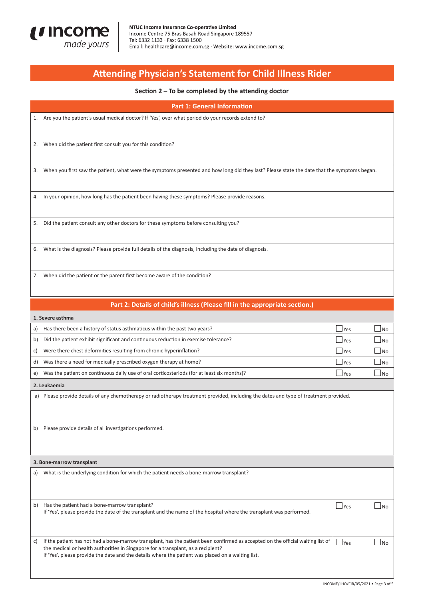

# **Attending Physician's Statement for Child Illness Rider**

### **Section 2 – To be completed by the attending doctor**

**Part 1: General Information**

1. Are you the patient's usual medical doctor? If 'Yes', over what period do your records extend to?

2. When did the patient first consult you for this condition?

3. When you first saw the patient, what were the symptoms presented and how long did they last? Please state the date that the symptoms began.

4. In your opinion, how long has the patient been having these symptoms? Please provide reasons.

5. Did the patient consult any other doctors for these symptoms before consulting you?

6. What is the diagnosis? Please provide full details of the diagnosis, including the date of diagnosis.

7. When did the patient or the parent first become aware of the condition?

## **Part 2: Details of child's illness (Please fill in the appropriate section.)**

#### **1. Severe asthma**

| a) | Has there been a history of status asthmaticus within the past two years?                  | l Yes      | N <sub>0</sub> |
|----|--------------------------------------------------------------------------------------------|------------|----------------|
| b) | Did the patient exhibit significant and continuous reduction in exercise tolerance?        | <b>Yes</b> | N <sub>0</sub> |
| c) | Were there chest deformities resulting from chronic hyperinflation?                        | l Yes      | N <sub>0</sub> |
| d) | Was there a need for medically prescribed oxygen therapy at home?                          | l Yes      | $1$ No         |
| e) | Was the patient on continuous daily use of oral corticosteriods (for at least six months)? | l Yes      | N <sub>0</sub> |

**2. Leukaemia**

a) Please provide details of any chemotherapy or radiotherapy treatment provided, including the dates and type of treatment provided.

b) Please provide details of all investigations performed.

#### **3. Bone-marrow transplant**

| a) | What is the underlying condition for which the patient needs a bone-marrow transplant?                                                                                                                                                                                                                                   |            |  |
|----|--------------------------------------------------------------------------------------------------------------------------------------------------------------------------------------------------------------------------------------------------------------------------------------------------------------------------|------------|--|
| b) | Has the patient had a bone-marrow transplant?<br>If 'Yes', please provide the date of the transplant and the name of the hospital where the transplant was performed.                                                                                                                                                    | <b>Yes</b> |  |
| C) | If the patient has not had a bone-marrow transplant, has the patient been confirmed as accepted on the official waiting list of<br>the medical or health authorities in Singapore for a transplant, as a recipient?<br>If 'Yes', please provide the date and the details where the patient was placed on a waiting list. | l Yes      |  |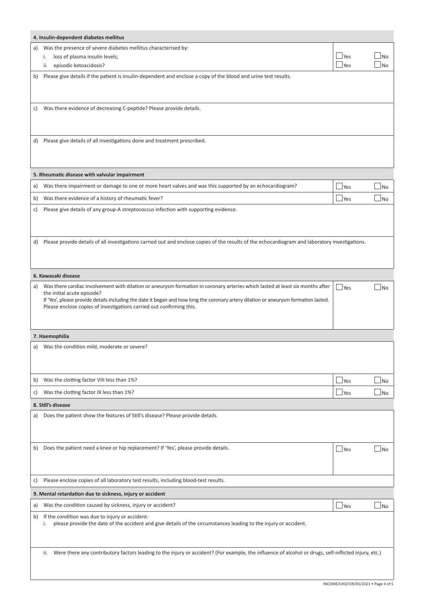|    | 4. Insulin-dependent diabetes mellitus                                                                                                                                                                       |            |                     |  |
|----|--------------------------------------------------------------------------------------------------------------------------------------------------------------------------------------------------------------|------------|---------------------|--|
| a) | Was the presence of severe diabetes mellitus characterised by:                                                                                                                                               |            |                     |  |
|    | loss of plasma insulin levels;<br>i.                                                                                                                                                                         | $\Box$ Yes | N <sub>o</sub>      |  |
|    | episodic ketoacidosis?<br>ii.                                                                                                                                                                                | <b>Yes</b> | <b>No</b>           |  |
| b) | Please give details if the patient is insulin-dependent and enclose a copy of the blood and urine test results.                                                                                              |            |                     |  |
|    |                                                                                                                                                                                                              |            |                     |  |
| c) | Was there evidence of decreasing C-peptide? Please provide details.                                                                                                                                          |            |                     |  |
|    |                                                                                                                                                                                                              |            |                     |  |
|    |                                                                                                                                                                                                              |            |                     |  |
| d) | Please give details of all investigations done and treatment prescribed.                                                                                                                                     |            |                     |  |
|    |                                                                                                                                                                                                              |            |                     |  |
|    |                                                                                                                                                                                                              |            |                     |  |
|    | 5. Rheumatic disease with valvular impairment                                                                                                                                                                |            |                     |  |
| a) | Was there impairment or damage to one or more heart valves and was this supported by an echocardiogram?                                                                                                      | <b>Yes</b> | $\sim$<br><b>No</b> |  |
| b) | Was there evidence of a history of rheumatic fever?                                                                                                                                                          | Yes        | - 1<br>No           |  |
| C) | Please give details of any group-A streptococcus infection with supporting evidence.                                                                                                                         |            |                     |  |
|    |                                                                                                                                                                                                              |            |                     |  |
|    |                                                                                                                                                                                                              |            |                     |  |
| d) | Please provide details of all investigations carried out and enclose copies of the results of the echocardiogram and laboratory investigations.                                                              |            |                     |  |
|    |                                                                                                                                                                                                              |            |                     |  |
|    |                                                                                                                                                                                                              |            |                     |  |
|    | 6. Kawasaki disease                                                                                                                                                                                          |            |                     |  |
| a) | Was there cardiac involvement with dilation or aneurysm formation in coronary arteries which lasted at least six months after<br>the initial acute episode?                                                  | l Yes      | <b>No</b>           |  |
|    | If 'Yes', please provide details including the date it began and how long the coronary artery dilation or aneurysm formation lasted.<br>Please enclose copies of investigations carried out confirming this. |            |                     |  |
|    |                                                                                                                                                                                                              |            |                     |  |
|    |                                                                                                                                                                                                              |            |                     |  |
|    | 7. Haemophilia                                                                                                                                                                                               |            |                     |  |
| a) | Was the condition mild, moderate or severe?                                                                                                                                                                  |            |                     |  |
|    |                                                                                                                                                                                                              |            |                     |  |
|    |                                                                                                                                                                                                              |            |                     |  |
| b) | Was the clotting factor VIII less than 1%?                                                                                                                                                                   | <b>Yes</b> | <b>No</b>           |  |
| c) | Was the clotting factor IX less than 1%?                                                                                                                                                                     | Yes        | ×.<br>No            |  |
|    | 8. Still's disease                                                                                                                                                                                           |            |                     |  |
| a) | Does the patient show the features of Still's disease? Please provide details.                                                                                                                               |            |                     |  |
|    |                                                                                                                                                                                                              |            |                     |  |
|    |                                                                                                                                                                                                              |            |                     |  |
| b) | Does the patient need a knee or hip replacement? If 'Yes', please provide details.                                                                                                                           | l Yes      | <b>No</b>           |  |
|    |                                                                                                                                                                                                              |            |                     |  |
| C) | Please enclose copies of all laboratory test results, including blood-test results.                                                                                                                          |            |                     |  |
|    |                                                                                                                                                                                                              |            |                     |  |
|    | 9. Mental retardation due to sickness, injury or accident                                                                                                                                                    |            |                     |  |
| a) | Was the condition caused by sickness, injury or accident?<br>If the condition was due to injury or accident:                                                                                                 | $\Box$ Yes | <b>No</b>           |  |
| b) | please provide the date of the accident and give details of the circumstances leading to the injury or accident.<br>i.                                                                                       |            |                     |  |
|    |                                                                                                                                                                                                              |            |                     |  |
|    |                                                                                                                                                                                                              |            |                     |  |
|    | Were there any contributory factors leading to the injury or accident? (For example, the influence of alcohol or drugs, self-inflicted injury, etc.)<br>ii.                                                  |            |                     |  |
|    |                                                                                                                                                                                                              |            |                     |  |